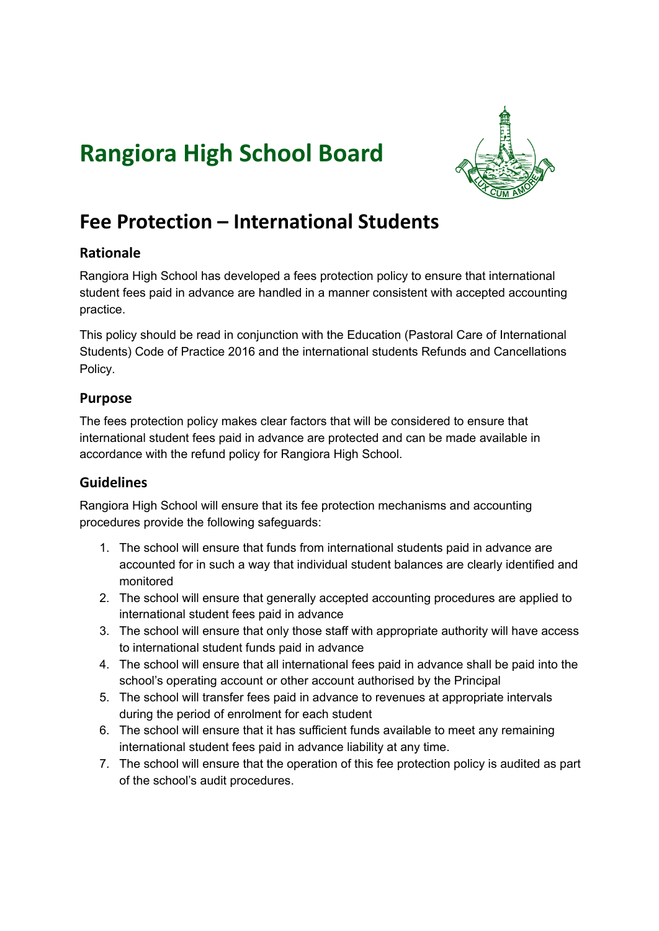# **Rangiora High School Board**



# **Fee Protection – International Students**

# **Rationale**

Rangiora High School has developed a fees protection policy to ensure that international student fees paid in advance are handled in a manner consistent with accepted accounting practice.

This policy should be read in conjunction with the Education (Pastoral Care of International Students) Code of Practice 2016 and the international students Refunds and Cancellations Policy.

# **Purpose**

The fees protection policy makes clear factors that will be considered to ensure that international student fees paid in advance are protected and can be made available in accordance with the refund policy for Rangiora High School.

#### **Guidelines**

Rangiora High School will ensure that its fee protection mechanisms and accounting procedures provide the following safeguards:

- 1. The school will ensure that funds from international students paid in advance are accounted for in such a way that individual student balances are clearly identified and monitored
- 2. The school will ensure that generally accepted accounting procedures are applied to international student fees paid in advance
- 3. The school will ensure that only those staff with appropriate authority will have access to international student funds paid in advance
- 4. The school will ensure that all international fees paid in advance shall be paid into the school's operating account or other account authorised by the Principal
- 5. The school will transfer fees paid in advance to revenues at appropriate intervals during the period of enrolment for each student
- 6. The school will ensure that it has sufficient funds available to meet any remaining international student fees paid in advance liability at any time.
- 7. The school will ensure that the operation of this fee protection policy is audited as part of the school's audit procedures.